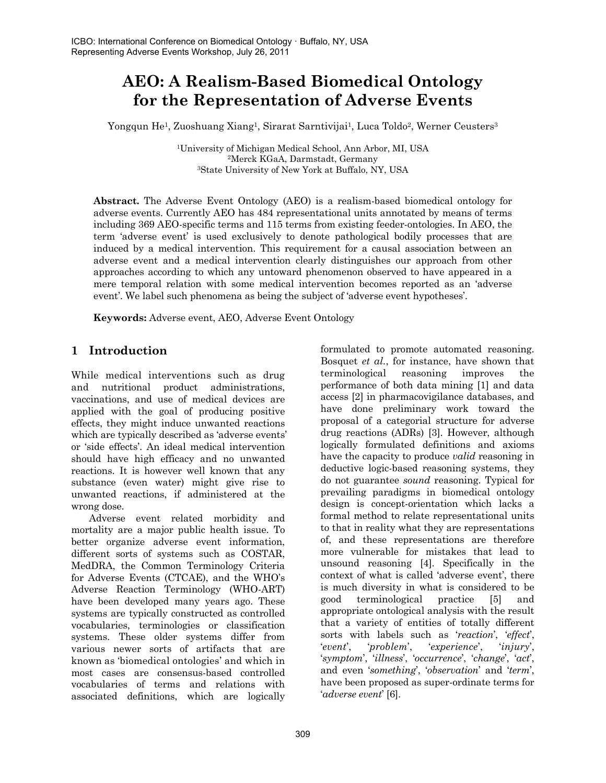# **AEO: A Realism-Based Biomedical Ontology for the Representation of Adverse Events**

Yongqun He<sup>1</sup>, Zuoshuang Xiang<sup>1</sup>, Sirarat Sarntivijai<sup>1</sup>, Luca Toldo<sup>2</sup>, Werner Ceusters<sup>3</sup>

<sup>1</sup>University of Michigan Medical School, Ann Arbor, MI, USA <sup>2</sup>Merck KGaA, Darmstadt, Germany <sup>3</sup>State University of New York at Buffalo, NY, USA

**Abstract.** The Adverse Event Ontology (AEO) is a realism-based biomedical ontology for adverse events. Currently AEO has 484 representational units annotated by means of terms including 369 AEO-specific terms and 115 terms from existing feeder-ontologies. In AEO, the term "adverse event" is used exclusively to denote pathological bodily processes that are induced by a medical intervention. This requirement for a causal association between an adverse event and a medical intervention clearly distinguishes our approach from other approaches according to which any untoward phenomenon observed to have appeared in a mere temporal relation with some medical intervention becomes reported as an "adverse event'. We label such phenomena as being the subject of 'adverse event hypotheses'.

**Keywords:** Adverse event, AEO, Adverse Event Ontology

# **1 Introduction**

While medical interventions such as drug and nutritional product administrations, vaccinations, and use of medical devices are applied with the goal of producing positive effects, they might induce unwanted reactions which are typically described as 'adverse events' or "side effects". An ideal medical intervention should have high efficacy and no unwanted reactions. It is however well known that any substance (even water) might give rise to unwanted reactions, if administered at the wrong dose.

Adverse event related morbidity and mortality are a major public health issue. To better organize adverse event information, different sorts of systems such as COSTAR, MedDRA, the Common Terminology Criteria for Adverse Events (CTCAE), and the WHO"s Adverse Reaction Terminology (WHO-ART) have been developed many years ago. These systems are typically constructed as controlled vocabularies, terminologies or classification systems. These older systems differ from various newer sorts of artifacts that are known as "biomedical ontologies" and which in most cases are consensus-based controlled vocabularies of terms and relations with associated definitions, which are logically

formulated to promote automated reasoning. Bosquet *et al.*, for instance, have shown that terminological reasoning improves the performance of both data mining [1] and data access [2] in pharmacovigilance databases, and have done preliminary work toward the proposal of a categorial structure for adverse drug reactions (ADRs) [3]. However, although logically formulated definitions and axioms have the capacity to produce *valid* reasoning in deductive logic-based reasoning systems, they do not guarantee *sound* reasoning. Typical for prevailing paradigms in biomedical ontology design is concept-orientation which lacks a formal method to relate representational units to that in reality what they are representations of, and these representations are therefore more vulnerable for mistakes that lead to unsound reasoning [4]. Specifically in the context of what is called 'adverse event', there is much diversity in what is considered to be good terminological practice [5] and appropriate ontological analysis with the result that a variety of entities of totally different sorts with labels such as 'reaction', 'effect', "*event*", "*problem*", "*experience*", "*injury*", "*symptom*", "*illness*", "*occurrence*", "*change*", "*act*", and even "*something*", "*observation*" and "*term*", have been proposed as super-ordinate terms for "*adverse event*" [6].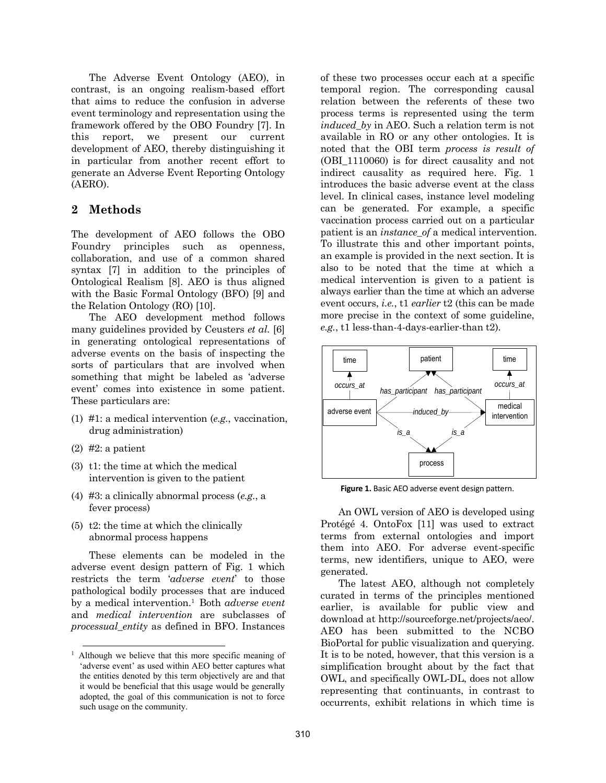The Adverse Event Ontology (AEO), in contrast, is an ongoing realism-based effort that aims to reduce the confusion in adverse event terminology and representation using the framework offered by the OBO Foundry [7]. In this report, we present our current development of AEO, thereby distinguishing it in particular from another recent effort to generate an Adverse Event Reporting Ontology (AERO).

## **2 Methods**

The development of AEO follows the OBO Foundry principles such as openness, collaboration, and use of a common shared syntax [7] in addition to the principles of Ontological Realism [8]. AEO is thus aligned with the Basic Formal Ontology (BFO) [9] and the Relation Ontology (RO) [10].

The AEO development method follows many guidelines provided by Ceusters *et al.* [6] in generating ontological representations of adverse events on the basis of inspecting the sorts of particulars that are involved when something that might be labeled as "adverse event" comes into existence in some patient. These particulars are:

- (1) #1: a medical intervention (*e.g.*, vaccination, drug administration)
- $(2)$  #2: a patient

 $\overline{a}$ 

- (3) t1: the time at which the medical intervention is given to the patient
- (4) #3: a clinically abnormal process (*e.g.*, a fever process)
- (5) t2: the time at which the clinically abnormal process happens

These elements can be modeled in the adverse event design pattern of Fig. 1 which restricts the term "*adverse event*" to those pathological bodily processes that are induced by a medical intervention.<sup>1</sup> Both *adverse event* and *medical intervention* are subclasses of *processual\_entity* as defined in BFO. Instances

of these two processes occur each at a specific temporal region. The corresponding causal relation between the referents of these two process terms is represented using the term *induced\_by* in AEO. Such a relation term is not available in RO or any other ontologies. It is noted that the OBI term *process is result of* (OBI\_1110060) is for direct causality and not indirect causality as required here. Fig. 1 introduces the basic adverse event at the class level. In clinical cases, instance level modeling can be generated. For example, a specific vaccination process carried out on a particular patient is an *instance\_of* a medical intervention. To illustrate this and other important points, an example is provided in the next section. It is also to be noted that the time at which a medical intervention is given to a patient is always earlier than the time at which an adverse event occurs, *i.e.*, t1 *earlier* t2 (this can be made more precise in the context of some guideline, *e.g.*, t1 less-than-4-days-earlier-than t2).



**Figure 1.** Basic AEO adverse event design pattern.

An OWL version of AEO is developed using Protégé 4. OntoFox [11] was used to extract terms from external ontologies and import them into AEO. For adverse event-specific terms, new identifiers, unique to AEO, were generated.

The latest AEO, although not completely curated in terms of the principles mentioned earlier, is available for public view and download at http://sourceforge.net/projects/aeo/. AEO has been submitted to the NCBO BioPortal for public visualization and querying. It is to be noted, however, that this version is a simplification brought about by the fact that OWL, and specifically OWL-DL, does not allow representing that continuants, in contrast to occurrents, exhibit relations in which time is

<sup>&</sup>lt;sup>1</sup> Although we believe that this more specific meaning of 'adverse event' as used within AEO better captures what the entities denoted by this term objectively are and that it would be beneficial that this usage would be generally adopted, the goal of this communication is not to force such usage on the community.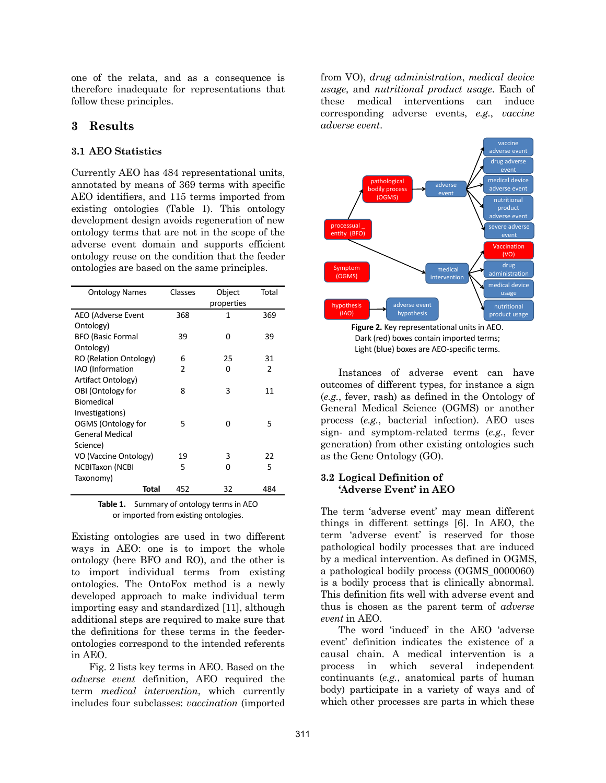one of the relata, and as a consequence is therefore inadequate for representations that follow these principles.

## **3 Results**

#### **3.1 AEO Statistics**

Currently AEO has 484 representational units, annotated by means of 369 terms with specific AEO identifiers, and 115 terms imported from existing ontologies (Table 1). This ontology development design avoids regeneration of new ontology terms that are not in the scope of the adverse event domain and supports efficient ontology reuse on the condition that the feeder ontologies are based on the same principles.

| <b>Ontology Names</b>         | Classes | Object     | Total          |
|-------------------------------|---------|------------|----------------|
|                               |         | properties |                |
| <b>AEO (Adverse Event</b>     | 368     | 1          | 369            |
| Ontology)                     |         |            |                |
| <b>BFO (Basic Formal</b>      | 39      | 0          | 39             |
| Ontology)                     |         |            |                |
| <b>RO (Relation Ontology)</b> | 6       | 25         | 31             |
| IAO (Information              | 2       | 0          | $\overline{2}$ |
| <b>Artifact Ontology)</b>     |         |            |                |
| OBI (Ontology for             | 8       | 3          | 11             |
| <b>Biomedical</b>             |         |            |                |
| Investigations)               |         |            |                |
| OGMS (Ontology for            | 5       | ŋ          | 5              |
| <b>General Medical</b>        |         |            |                |
| Science)                      |         |            |                |
| VO (Vaccine Ontology)         | 19      | 3          | 22             |
| NCBITaxon (NCBI               | 5       | 0          | 5              |
| Taxonomy)                     |         |            |                |
| Total                         | 452     | 32         | 484            |

Table 1. Summary of ontology terms in AEO or imported from existing ontologies.

Existing ontologies are used in two different ways in AEO: one is to import the whole ontology (here BFO and RO), and the other is to import individual terms from existing ontologies. The OntoFox method is a newly developed approach to make individual term importing easy and standardized [11], although additional steps are required to make sure that the definitions for these terms in the feederontologies correspond to the intended referents in AEO.

Fig. 2 lists key terms in AEO. Based on the *adverse event* definition, AEO required the term *medical intervention*, which currently includes four subclasses: *vaccination* (imported from VO), *drug administration*, *medical device usage*, and *nutritional product usage*. Each of these medical interventions can induce corresponding adverse events, *e.g.*, *vaccine adverse event*.



Instances of adverse event can have outcomes of different types, for instance a sign (*e.g.*, fever, rash) as defined in the Ontology of General Medical Science (OGMS) or another process (*e.g.*, bacterial infection). AEO uses sign- and symptom-related terms (*e.g.*, fever generation) from other existing ontologies such as the Gene Ontology (GO).

## **3.2 Logical Definition of 'Adverse Event' in AEO**

The term "adverse event" may mean different things in different settings [6]. In AEO, the term "adverse event" is reserved for those pathological bodily processes that are induced by a medical intervention. As defined in OGMS, a pathological bodily process (OGMS\_0000060) is a bodily process that is clinically abnormal. This definition fits well with adverse event and thus is chosen as the parent term of *adverse event* in AEO.

The word "induced" in the AEO "adverse event" definition indicates the existence of a causal chain. A medical intervention is a process in which several independent continuants (*e.g.*, anatomical parts of human body) participate in a variety of ways and of which other processes are parts in which these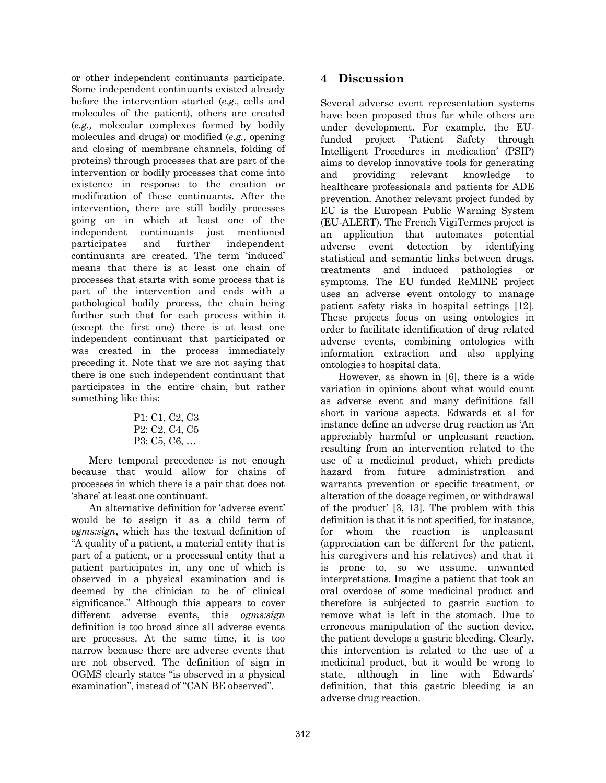or other independent continuants participate. Some independent continuants existed already before the intervention started (*e.g.,* cells and molecules of the patient), others are created (*e.g.,* molecular complexes formed by bodily molecules and drugs) or modified (*e.g.,* opening and closing of membrane channels, folding of proteins) through processes that are part of the intervention or bodily processes that come into existence in response to the creation or modification of these continuants. After the intervention, there are still bodily processes going on in which at least one of the independent continuants just mentioned participates and further independent continuants are created. The term "induced" means that there is at least one chain of processes that starts with some process that is part of the intervention and ends with a pathological bodily process, the chain being further such that for each process within it (except the first one) there is at least one independent continuant that participated or was created in the process immediately preceding it. Note that we are not saying that there is one such independent continuant that participates in the entire chain, but rather something like this:

| P1: C1, C2, C3 |  |
|----------------|--|
| P2: C2, C4, C5 |  |
| P3: C5, C6,    |  |

Mere temporal precedence is not enough because that would allow for chains of processes in which there is a pair that does not "share" at least one continuant.

An alternative definition for "adverse event" would be to assign it as a child term of *ogms:sign*, which has the textual definition of "A quality of a patient, a material entity that is part of a patient, or a processual entity that a patient participates in, any one of which is observed in a physical examination and is deemed by the clinician to be of clinical significance." Although this appears to cover different adverse events, this *ogms:sign* definition is too broad since all adverse events are processes. At the same time, it is too narrow because there are adverse events that are not observed. The definition of sign in OGMS clearly states "is observed in a physical examination", instead of "CAN BE observed".

# **4 Discussion**

Several adverse event representation systems have been proposed thus far while others are under development. For example, the EUfunded project "Patient Safety through Intelligent Procedures in medication" (PSIP) aims to develop innovative tools for generating and providing relevant knowledge to healthcare professionals and patients for ADE prevention. Another relevant project funded by EU is the European Public Warning System (EU-ALERT). The French VigiTermes project is an application that automates potential adverse event detection by identifying statistical and semantic links between drugs, treatments and induced pathologies or symptoms. The EU funded ReMINE project uses an adverse event ontology to manage patient safety risks in hospital settings [12]. These projects focus on using ontologies in order to facilitate identification of drug related adverse events, combining ontologies with information extraction and also applying ontologies to hospital data.

However, as shown in [6], there is a wide variation in opinions about what would count as adverse event and many definitions fall short in various aspects. Edwards et al for instance define an adverse drug reaction as "An appreciably harmful or unpleasant reaction, resulting from an intervention related to the use of a medicinal product, which predicts hazard from future administration and warrants prevention or specific treatment, or alteration of the dosage regimen, or withdrawal of the product" [3, 13]. The problem with this definition is that it is not specified, for instance, for whom the reaction is unpleasant (appreciation can be different for the patient, his caregivers and his relatives) and that it is prone to, so we assume, unwanted interpretations. Imagine a patient that took an oral overdose of some medicinal product and therefore is subjected to gastric suction to remove what is left in the stomach. Due to erroneous manipulation of the suction device, the patient develops a gastric bleeding. Clearly, this intervention is related to the use of a medicinal product, but it would be wrong to state, although in line with Edwards" definition, that this gastric bleeding is an adverse drug reaction.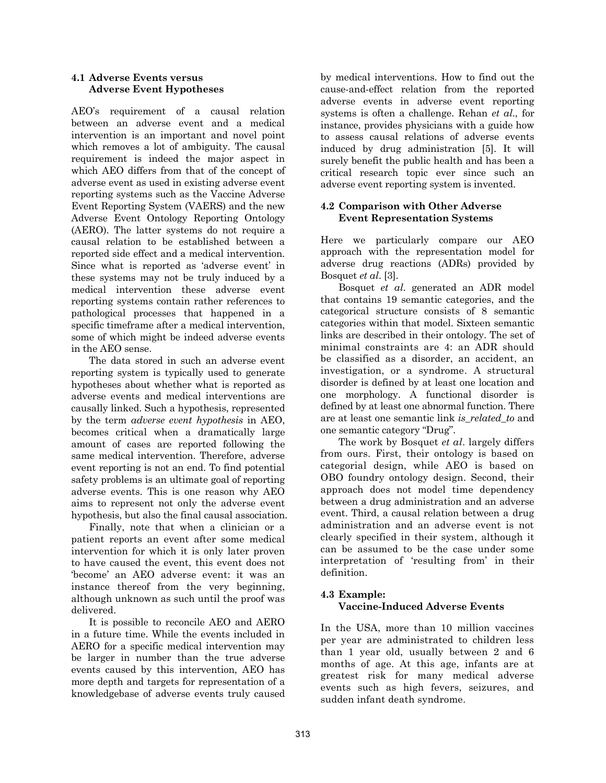## **4.1 Adverse Events versus Adverse Event Hypotheses**

AEO"s requirement of a causal relation between an adverse event and a medical intervention is an important and novel point which removes a lot of ambiguity. The causal requirement is indeed the major aspect in which AEO differs from that of the concept of adverse event as used in existing adverse event reporting systems such as the Vaccine Adverse Event Reporting System (VAERS) and the new Adverse Event Ontology Reporting Ontology (AERO). The latter systems do not require a causal relation to be established between a reported side effect and a medical intervention. Since what is reported as 'adverse event' in these systems may not be truly induced by a medical intervention these adverse event reporting systems contain rather references to pathological processes that happened in a specific timeframe after a medical intervention, some of which might be indeed adverse events in the AEO sense.

The data stored in such an adverse event reporting system is typically used to generate hypotheses about whether what is reported as adverse events and medical interventions are causally linked. Such a hypothesis, represented by the term *adverse event hypothesis* in AEO, becomes critical when a dramatically large amount of cases are reported following the same medical intervention. Therefore, adverse event reporting is not an end. To find potential safety problems is an ultimate goal of reporting adverse events. This is one reason why AEO aims to represent not only the adverse event hypothesis, but also the final causal association.

Finally, note that when a clinician or a patient reports an event after some medical intervention for which it is only later proven to have caused the event, this event does not "become" an AEO adverse event: it was an instance thereof from the very beginning, although unknown as such until the proof was delivered.

It is possible to reconcile AEO and AERO in a future time. While the events included in AERO for a specific medical intervention may be larger in number than the true adverse events caused by this intervention, AEO has more depth and targets for representation of a knowledgebase of adverse events truly caused

by medical interventions. How to find out the cause-and-effect relation from the reported adverse events in adverse event reporting systems is often a challenge. Rehan *et al*., for instance, provides physicians with a guide how to assess causal relations of adverse events induced by drug administration [5]. It will surely benefit the public health and has been a critical research topic ever since such an adverse event reporting system is invented.

## **4.2 Comparison with Other Adverse Event Representation Systems**

Here we particularly compare our AEO approach with the representation model for adverse drug reactions (ADRs) provided by Bosquet *et al*. [3].

Bosquet *et al*. generated an ADR model that contains 19 semantic categories, and the categorical structure consists of 8 semantic categories within that model. Sixteen semantic links are described in their ontology. The set of minimal constraints are 4: an ADR should be classified as a disorder, an accident, an investigation, or a syndrome. A structural disorder is defined by at least one location and one morphology. A functional disorder is defined by at least one abnormal function. There are at least one semantic link *is\_related\_to* and one semantic category "Drug".

The work by Bosquet *et al*. largely differs from ours. First, their ontology is based on categorial design, while AEO is based on OBO foundry ontology design. Second, their approach does not model time dependency between a drug administration and an adverse event. Third, a causal relation between a drug administration and an adverse event is not clearly specified in their system, although it can be assumed to be the case under some interpretation of "resulting from" in their definition.

#### **4.3 Example: Vaccine-Induced Adverse Events**

In the USA, more than 10 million vaccines per year are administrated to children less than 1 year old, usually between 2 and 6 months of age. At this age, infants are at greatest risk for many medical adverse events such as high fevers, seizures, and sudden infant death syndrome.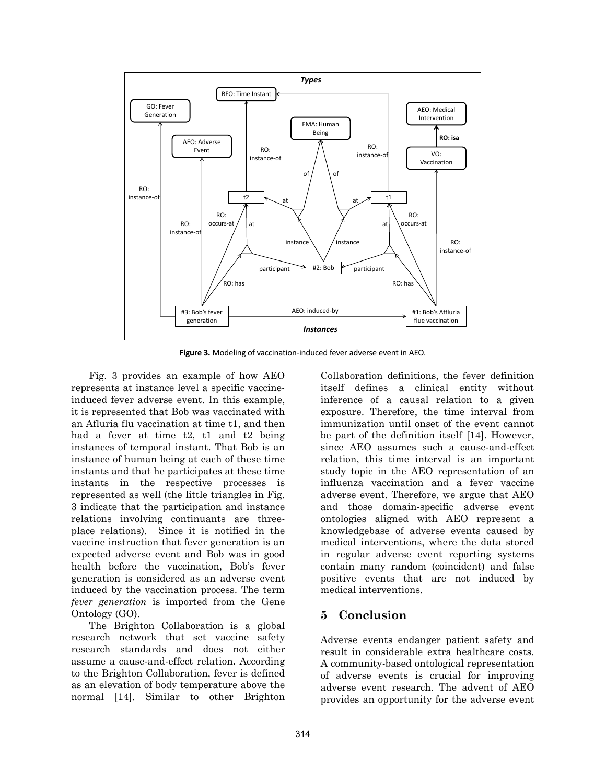

**Figure 3.** Modeling of vaccination-induced fever adverse event in AEO.

Fig. 3 provides an example of how AEO represents at instance level a specific vaccineinduced fever adverse event. In this example, it is represented that Bob was vaccinated with an Afluria flu vaccination at time t1, and then had a fever at time t2, t1 and t2 being instances of temporal instant. That Bob is an instance of human being at each of these time instants and that he participates at these time instants in the respective processes is represented as well (the little triangles in Fig. 3 indicate that the participation and instance relations involving continuants are threeplace relations). Since it is notified in the vaccine instruction that fever generation is an expected adverse event and Bob was in good health before the vaccination, Bob's fever generation is considered as an adverse event induced by the vaccination process. The term *fever generation* is imported from the Gene Ontology (GO).

The Brighton Collaboration is a global research network that set vaccine safety research standards and does not either assume a cause-and-effect relation. According to the Brighton Collaboration, fever is defined as an elevation of body temperature above the normal [14]. Similar to other Brighton

Collaboration definitions, the fever definition itself defines a clinical entity without inference of a causal relation to a given exposure. Therefore, the time interval from immunization until onset of the event cannot be part of the definition itself [14]. However, since AEO assumes such a cause-and-effect relation, this time interval is an important study topic in the AEO representation of an influenza vaccination and a fever vaccine adverse event. Therefore, we argue that AEO and those domain-specific adverse event ontologies aligned with AEO represent a knowledgebase of adverse events caused by medical interventions, where the data stored in regular adverse event reporting systems contain many random (coincident) and false positive events that are not induced by medical interventions.

# **5 Conclusion**

Adverse events endanger patient safety and result in considerable extra healthcare costs. A community-based ontological representation of adverse events is crucial for improving adverse event research. The advent of AEO provides an opportunity for the adverse event